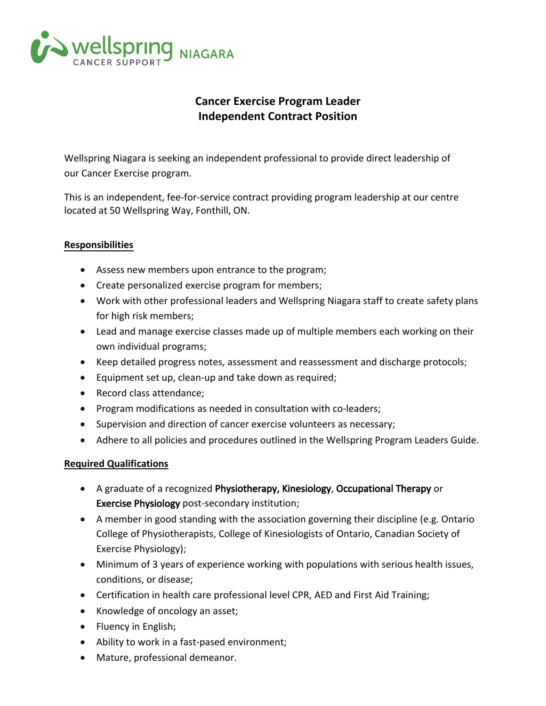

## Cancer Exercise Program Leader Independent **C**ontract **P**osition

Wellspring Niagara is seeking an independent professional to provide direct leadership of our Cancer Exercise program.

This is an independent, fee-for-service contract providing program leadership at our centre located at 50 Wellspring Way, Fonthill, ON.

## Responsibilities

- Assess new members upon entrance to the program;
- Create personalized exercise program for members;
- Work with other professional leaders and Wellspring Niagara staff to create safety plans for high risk members;
- Lead and manage exercise classes made up of multiple members each working on their own individual programs;
- Keep detailed progress notes, assessment and reassessment and discharge protocols;
- Equipment set up, clean-up and take down as required;
- Record class attendance;
- Program modifications as needed in consultation with co-leaders;
- Supervision and direction of cancer exercise volunteers as necessary;
- Adhere to all policies and procedures outlined in the Wellspring Program Leaders Guide.

## Required Qualifications

- A graduate of a recognized Physiotherapy, Kinesiology, Occupational Therapy or Exercise Physiology post-secondary institution;
- A member in good standing with the association governing their discipline (e.g. Ontario College of Physiotherapists, College of Kinesiologists of Ontario, Canadian Society of Exercise Physiology);
- Minimum of 3 years of experience working with populations with serious health issues, conditions, or disease;
- Certification in health care professional level CPR, AED and First Aid Training;
- Knowledge of oncology an asset;
- Fluency in English;
- Ability to work in a fast-pased environment;
- Mature, professional demeanor.